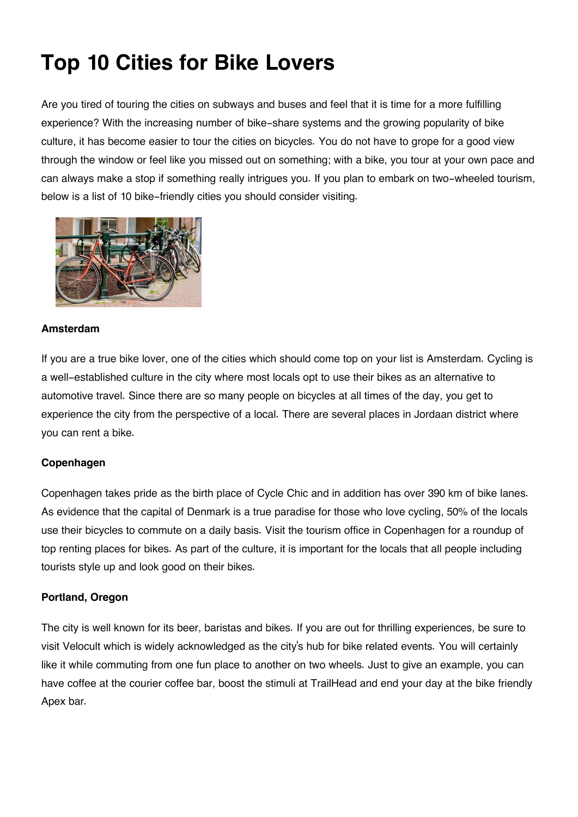# **Top 10 Cities for Bike Lovers**

Are you tired of touring the cities on subways and buses and feel that it is time for a more fulfilling experience? With the increasing number of bike-share systems and the growing popularity of bike culture, it has become easier to tour the cities on bicycles. You do not have to grope for a good view through the window or feel like you missed out on something; with a bike, you tour at your own pace and can always make a stop if something really intrigues you. If you plan to embark on two-wheeled tourism, below is a list of 10 bike-friendly cities you should consider visiting.



## **Amsterdam**

If you are a true bike lover, one of the cities which should come top on your list is Amsterdam. Cycling is a well-established culture in the city where most locals opt to use their bikes as an alternative to automotive travel. Since there are so many people on bicycles at all times of the day, you get to experience the city from the perspective of a local. There are several places in Jordaan district where you can rent a bike.

## **Copenhagen**

Copenhagen takes pride as the birth place of Cycle Chic and in addition has over 390 km of bike lanes. As evidence that the capital of Denmark is a true paradise for those who love cycling, 50% of the locals use their bicycles to commute on a daily basis. Visit the tourism office in Copenhagen for a roundup of top renting places for bikes. As part of the culture, it is important for the locals that all people including tourists style up and look good on their bikes.

## **Portland, Oregon**

The city is well known for its beer, baristas and bikes. If you are out for thrilling experiences, be sure to visit Velocult which is widely acknowledged as the city's hub for bike related events. You will certainly like it while commuting from one fun place to another on two wheels. Just to give an example, you can have coffee at the courier coffee bar, boost the stimuli at TrailHead and end your day at the bike friendly Apex bar.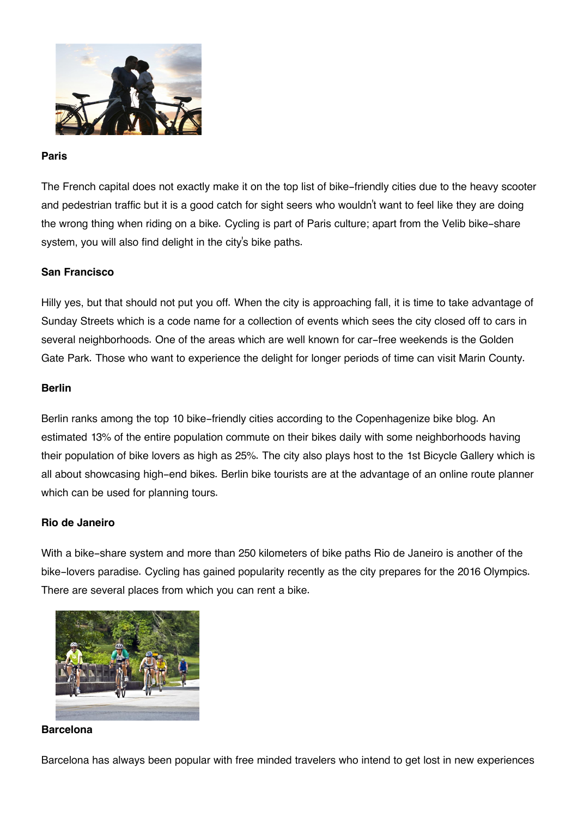

#### **Paris**

The French capital does not exactly make it on the top list of bike-friendly cities due to the heavy scooter and pedestrian traffic but it is a good catch for sight seers who wouldn't want to feel like they are doing the wrong thing when riding on a bike. Cycling is part of Paris culture; apart from the Velib bike-share system, you will also find delight in the city's bike paths.

## **San Francisco**

Hilly yes, but that should not put you off. When the city is approaching fall, it is time to take advantage of Sunday Streets which is a code name for a collection of events which sees the city closed off to cars in several neighborhoods. One of the areas which are well known for car-free weekends is the Golden Gate Park. Those who want to experience the delight for longer periods of time can visit Marin County.

#### **Berlin**

Berlin ranks among the top 10 bike-friendly cities according to the Copenhagenize bike blog. An estimated 13% of the entire population commute on their bikes daily with some neighborhoods having their population of bike lovers as high as 25%. The city also plays host to the 1st Bicycle Gallery which is all about showcasing high-end bikes. Berlin bike tourists are at the advantage of an online route planner which can be used for planning tours.

#### **Rio de Janeiro**

With a bike-share system and more than 250 kilometers of bike paths Rio de Janeiro is another of the bike-lovers paradise. Cycling has gained popularity recently as the city prepares for the 2016 Olympics. There are several places from which you can rent a bike.



#### **Barcelona**

Barcelona has always been popular with free minded travelers who intend to get lost in new experiences